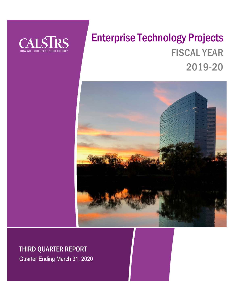

# Enterprise Technology Projects FISCAL YEAR 2019-20



# THIRD QUARTER REPORT

Quarter Ending March 31, 2020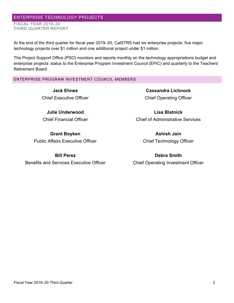# ENTERPRISE TECHNOLOGY PROJECTS FISCAL YEAR 2019–20 THIRD QUARTER REPORT

At the end of the third quarter for fiscal year 2019–20, CalSTRS had six enterprise projects: five major technology projects over \$1 million and one additional project under \$1 million.

The Project Support Office (PSO) monitors and reports monthly on the technology appropriations budget and enterprise projects' status to the Enterprise Program Investment Council (EPIC) and quarterly to the Teachers' Retirement Board.

# ENTERPRISE PROGRAM INVESTMENT COUNCIL MEMBERS

**Jack Ehnes** Chief Executive Officer

**Julie Underwood** Chief Financial Officer

**Grant Boyken** Public Affairs Executive Officer

**Bill Perez** Benefits and Services Executive Officer

**Cassandra Lichnock** Chief Operating Officer

**Lisa Blatnick** Chief of Administrative Services

> **Ashish Jain** Chief Technology Officer

**Debra Smith** Chief Operating Investment Officer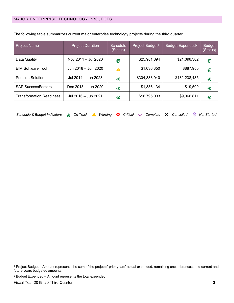| <b>Project Name</b>             | <b>Project Duration</b> | <b>Schedule</b><br>(Status) | Project Budget <sup>1</sup> | Budget Expended <sup>2</sup> | <b>Budget</b><br>(Status) |
|---------------------------------|-------------------------|-----------------------------|-----------------------------|------------------------------|---------------------------|
| Data Quality                    | Nov 2011 - Jul 2020     | Ø                           | \$25,981,894                | \$21,096,302                 | Ø                         |
| <b>EIM Software Tool</b>        | Jun 2018 - Jun 2020     | Δ                           | \$1,036,350                 | \$887,950                    | Ø                         |
| <b>Pension Solution</b>         | Jul 2014 - Jan 2023     | Ø                           | \$304,833,040               | \$182,238,485                | Ø                         |
| <b>SAP SuccessFactors</b>       | Dec 2018 - Jun 2020     | G                           | \$1,386,134                 | \$19,500                     | Ø                         |
| <b>Transformation Readiness</b> | Jul 2016 - Jun 2021     | G                           | \$16,795,033                | \$9,066,811                  | G                         |

The following table summarizes current major enterprise technology projects during the third quarter.

| Schedule & Budget Indicators @ On Track A Warning ● Critical v Complete X Cancelled ① Not Started |  |  |  |  |  |  |  |  |  |  |  |  |
|---------------------------------------------------------------------------------------------------|--|--|--|--|--|--|--|--|--|--|--|--|
|---------------------------------------------------------------------------------------------------|--|--|--|--|--|--|--|--|--|--|--|--|

<span id="page-2-0"></span><sup>1</sup> Project Budget – Amount represents the sum of the projects' prior years' actual expended, remaining encumbrances, and current and future years budgeted amounts.

<span id="page-2-1"></span><sup>2</sup> Budget Expended – Amount represents the total expended.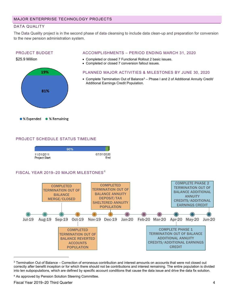# DATA QUALITY

The Data Quality project is in the second phase of data cleansing to include data clean-up and preparation for conversion to the new pension administration system.

### PROJECT BUDGET



#### ACCOMPLISHMENTS – PERIOD ENDING MARCH 31, 2020

- Completed or closed 7 Functional Rollout 2 basic issues.
- Completed or closed 7 conversion fallout issues.

#### PLANNED MAJOR ACTIVITIES & MILESTONES BY JUNE 30, 2020

• Complete Termination Out of Balance<sup>[3](#page-3-0)</sup> – Phase I and 2 of Additional Annuity Credit/ Additional Earnings Credit Population.

# PROJECT SCHEDULE STATUS TIMELINE



# FISCAL YEAR 2019-20 MAJOR MILESTONES<sup>[4](#page-3-1)</sup>



<span id="page-3-0"></span><sup>3</sup> Termination Out of Balance – Correction of erroneous contribution and interest amounts on accounts that were not closed out correctly after benefit inception or for which there should not be contributions and interest remaining. The entire population is divided into ten subpopulations, which are defined by specific account conditions that cause the data issue and drive the data fix solution.

<span id="page-3-1"></span><sup>4</sup> As approved by Pension Solution Steering Committee.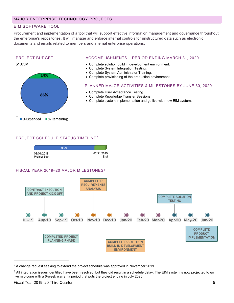# EIM SOFTWARE TOOL

Procurement and implementation of a tool that will support effective information management and governance throughout the enterprise's repositories. It will manage and enforce internal controls for unstructured data such as electronic documents and emails related to members and internal enterprise operations.

#### PROJECT BUDGET





#### ACCOMPLISHMENTS – PERIOD ENDING MARCH 31, 2020

- Complete solution build in development environment.
- Complete System Integration Testing.
- Complete System Administrator Training.
- Complete provisioning of the production environment.

PLANNED MAJOR ACTIVITIES & MILESTONES BY JUNE 30, 2020

COMPLETE SOLUTION **TESTING** 

- Complete User Acceptance Testing.
- Complete Knowledge Transfer Sessions.
- Complete system implementation and go live with new EIM system.

# PROJECT SCHEDULE STATUS TIMELINE[5](#page-4-0)



<span id="page-4-0"></span><sup>5</sup> A change request seeking to extend the project schedule was approved in November 2019.

**COMPLETE** PRODUCT IMPLEMENTATION

<span id="page-4-1"></span> $6$  All integration issues identified have been resolved, but they did result in a schedule delay. The EIM system is now projected to go live mid-June with a 6-week warranty period that puts the project ending in July 2020.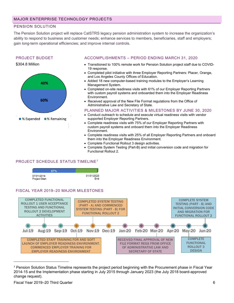# PENSION SOLUTION

The Pension Solution project will replace CalSTRS legacy pension administration system to increase the organization's ability to respond to business and customer needs; enhance services to members, beneficiaries, staff and employers; gain long-term operational efficiencies; and improve internal controls.

#### PROJECT BUDGET





#### ACCOMPLISHMENTS – PERIOD ENDING MARCH 31, 2020

- Transitioned to 100% remote work for Pension Solution project staff due to COVID-19 response.
- Completed pilot initiative with three Employer Reporting Partners: Placer, Orange, and Los Angeles County Offices of Education.
- Added 18 new computer-based training modules to the Employer's Learning Management System.
- Completed on-site readiness visits with 61% of our Employer Reporting Partners with custom payroll systems and onboarded them into the Employer Readiness Environment.
- Received approval of the New File Format regulations from the Office of Administrative Law and Secretary of State.

#### PLANNED MAJOR ACTIVITIES & MILESTONES BY JUNE 30, 2020

- Conduct outreach to schedule and execute virtual readiness visits with vendor supported Employer Reporting Partners.
- Complete readiness visits with 75% of our Employer Reporting Partners with custom payroll systems and onboard them into the Employer Readiness Environment.
- Complete readiness visits with 25% of all Employer Reporting Partners and onboard them into the Employer Readiness Environment.
- Complete Functional Rollout 3 design activities.
- Complete System Testing (Part-B) and initial conversion code and migration for Functional Rollout 2.

# PROJECT SCHEDULE STATUS TIMELINE[7](#page-5-0)



# FISCAL YEAR 2019–20 MAJOR MILESTONES



<span id="page-5-0"></span><sup>7</sup> Pension Solution Status Timeline represents the project period beginning with the Procurement phase in Fiscal Year 2014-15 and the Implementation phase starting in July 2015 through January 2023 (the July 2018 board-approved change request).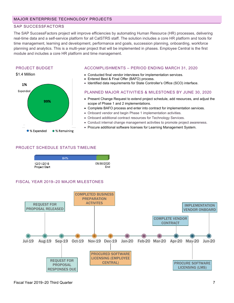# SAP SUCCESSFACTORS

The SAP SuccessFactors project will improve efficiencies by automating Human Resource (HR) processes, delivering real-time data and a self-service platform for all CalSTRS staff. The solution includes a core HR platform and tools for time management, learning and development, performance and goals, succession planning, onboarding, workforce planning and analytics. This is a multi-year project that will be implemented in phases. Employee Central is the first module and includes a core HR platform and time management.

#### PROJECT BUDGET



#### ACCOMPLISHMENTS – PERIOD ENDING MARCH 31, 2020

- Conducted final vendor interviews for implementation services.
- Entered Best & Final Offer (BAFO) process.
- Identified data requirements for State Controller's Office (SCO) interface.

#### PLANNED MAJOR ACTIVITIES & MILESTONES BY JUNE 30, 2020

- Present Change Request to extend project schedule, add resources, and adjust the scope of Phase 1 and 2 implementations.
- Complete BAFO process and enter into contract for implementation services.
- Onboard vendor and begin Phase 1 implementation activities.
- Onboard additional contract resources for Technology Services.
- Conduct internal change management activities to promote project awareness.
- Procure additional software licenses for Learning Management System.

# PROJECT SCHEDULE STATUS TIMELINE



# FISCAL YEAR 2019–20 MAJOR MILESTONES

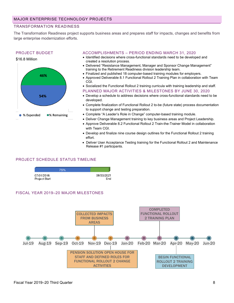# TRANSFORMATION READINESS

The Transformation Readiness project supports business areas and prepares staff for impacts, changes and benefits from large enterprise modernization efforts.

#### PROJECT BUDGET



#### ACCOMPLISHMENTS – PERIOD ENDING MARCH 31, 2020

- Identified decisions where cross-functional standards need to be developed and created a resolution process.
- Delivered "Resistance Management, Manager and Sponsor Change Management" training to the Retirement Readiness division leadership team.
- Finalized and published 18 computer-based training modules for employers.
- Approved Deliverable 8.1 Functional Rollout 2 Training Plan in collaboration with Team CGI.
- Socialized the Functional Rollout 2 training curricula with training leadership and staff.
- PLANNED MAJOR ACTIVITIES & MILESTONES BY JUNE 30, 2020 • Develop a schedule to address decisions where cross-functional standards need to be

developed.

- Complete finalization of Functional Rollout 2 to-be (future state) process documentation to support change and testing preparation.
- Complete "A Leader's Role in Change" computer-based training module.
- Deliver Change Management training to key business areas and Project Leadership.
- Approve Deliverable 8.2 Functional Rollout 2 Train-the-Trainer Model in collaboration with Team CGI.
- Develop and finalize nine course design outlines for the Functional Rollout 2 training effort.
- Deliver User Acceptance Testing training for the Functional Rollout 2 and Maintenance Release #1 participants.

#### PROJECT SCHEDULE STATUS TIMELINE

|                             | 75% |                   |
|-----------------------------|-----|-------------------|
| 07/01/2016<br>Project Start |     | 06/30/2021<br>Fnd |

#### FISCAL YEAR 2019–20 MAJOR MILESTONES